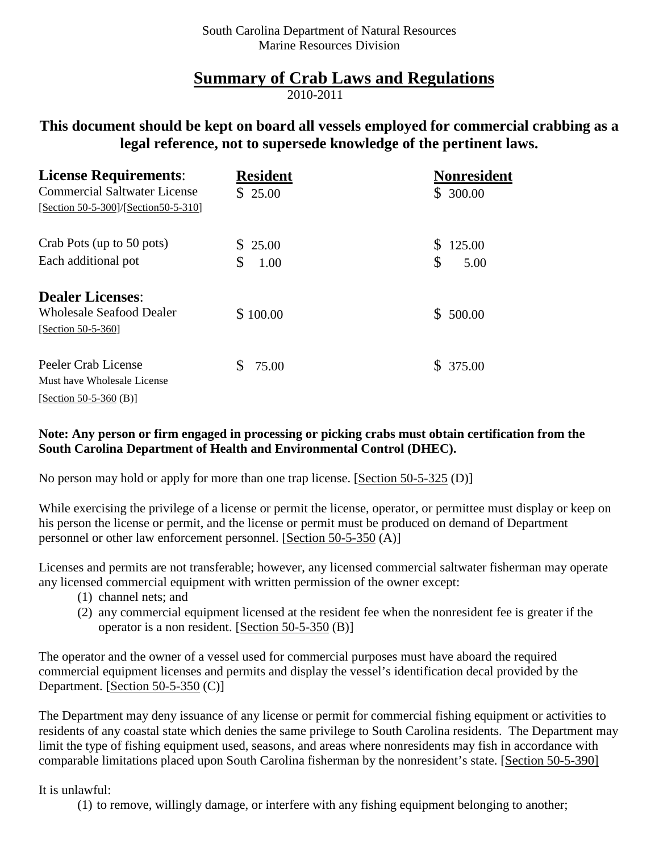## **Summary of Crab Laws and Regulations**

2010-2011

## **This document should be kept on board all vessels employed for commercial crabbing as a legal reference, not to supersede knowledge of the pertinent laws.**

| <b>License Requirements:</b>                                                | <b>Resident</b> | <b>Nonresident</b> |
|-----------------------------------------------------------------------------|-----------------|--------------------|
| <b>Commercial Saltwater License</b><br>[Section 50-5-300]/[Section50-5-310] | \$25.00         | \$300.00           |
| Crab Pots (up to 50 pots)                                                   | \$25.00         | 125.00             |
| Each additional pot                                                         | \$<br>1.00      | \$<br>5.00         |
| <b>Dealer Licenses:</b>                                                     |                 |                    |
| <b>Wholesale Seafood Dealer</b><br>[Section 50-5-360]                       | \$100.00        | \$500.00           |
| Peeler Crab License                                                         | \$<br>75.00     | \$375.00           |
| Must have Wholesale License                                                 |                 |                    |
| [Section 50-5-360 (B)]                                                      |                 |                    |

## **Note: Any person or firm engaged in processing or picking crabs must obtain certification from the South Carolina Department of Health and Environmental Control (DHEC).**

No person may hold or apply for more than one trap license. [Section 50-5-325 (D)]

While exercising the privilege of a license or permit the license, operator, or permittee must display or keep on his person the license or permit, and the license or permit must be produced on demand of Department personnel or other law enforcement personnel. [Section 50-5-350 (A)]

Licenses and permits are not transferable; however, any licensed commercial saltwater fisherman may operate any licensed commercial equipment with written permission of the owner except:

- (1) channel nets; and
- (2) any commercial equipment licensed at the resident fee when the nonresident fee is greater if the operator is a non resident. [Section 50-5-350 (B)]

The operator and the owner of a vessel used for commercial purposes must have aboard the required commercial equipment licenses and permits and display the vessel's identification decal provided by the Department. [Section 50-5-350 (C)]

The Department may deny issuance of any license or permit for commercial fishing equipment or activities to residents of any coastal state which denies the same privilege to South Carolina residents. The Department may limit the type of fishing equipment used, seasons, and areas where nonresidents may fish in accordance with comparable limitations placed upon South Carolina fisherman by the nonresident's state. [Section 50-5-390]

It is unlawful:

(1) to remove, willingly damage, or interfere with any fishing equipment belonging to another;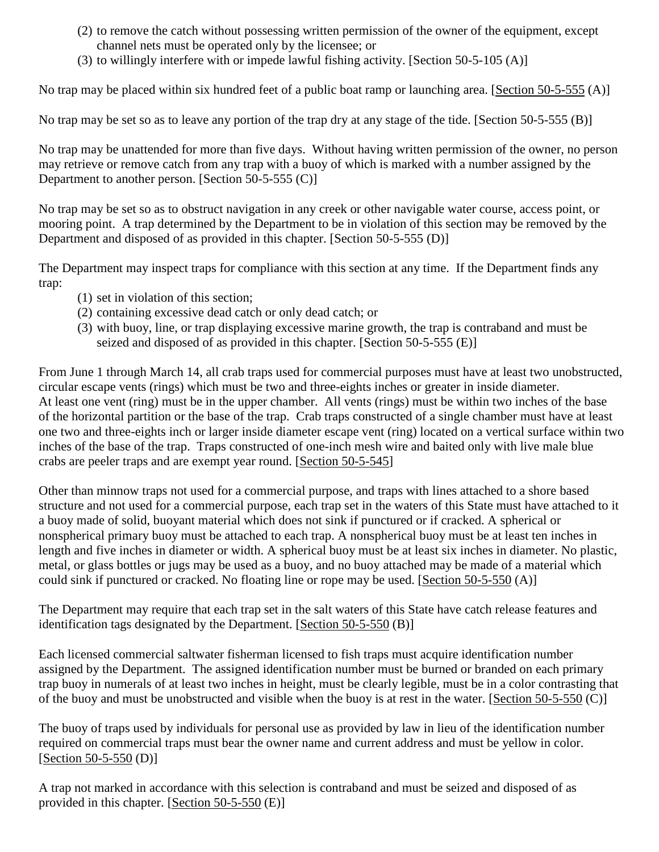- (2) to remove the catch without possessing written permission of the owner of the equipment, except channel nets must be operated only by the licensee; or
- (3) to willingly interfere with or impede lawful fishing activity. [Section 50-5-105 (A)]

No trap may be placed within six hundred feet of a public boat ramp or launching area. [Section 50-5-555 (A)]

No trap may be set so as to leave any portion of the trap dry at any stage of the tide. [Section 50-5-555 (B)]

No trap may be unattended for more than five days. Without having written permission of the owner, no person may retrieve or remove catch from any trap with a buoy of which is marked with a number assigned by the Department to another person. [Section 50-5-555 (C)]

No trap may be set so as to obstruct navigation in any creek or other navigable water course, access point, or mooring point. A trap determined by the Department to be in violation of this section may be removed by the Department and disposed of as provided in this chapter. [Section 50-5-555 (D)]

The Department may inspect traps for compliance with this section at any time. If the Department finds any trap:

- (1) set in violation of this section;
- (2) containing excessive dead catch or only dead catch; or
- (3) with buoy, line, or trap displaying excessive marine growth, the trap is contraband and must be seized and disposed of as provided in this chapter. [Section 50-5-555 (E)]

From June 1 through March 14, all crab traps used for commercial purposes must have at least two unobstructed, circular escape vents (rings) which must be two and three-eights inches or greater in inside diameter. At least one vent (ring) must be in the upper chamber. All vents (rings) must be within two inches of the base of the horizontal partition or the base of the trap. Crab traps constructed of a single chamber must have at least one two and three-eights inch or larger inside diameter escape vent (ring) located on a vertical surface within two inches of the base of the trap. Traps constructed of one-inch mesh wire and baited only with live male blue crabs are peeler traps and are exempt year round. [Section 50-5-545]

Other than minnow traps not used for a commercial purpose, and traps with lines attached to a shore based structure and not used for a commercial purpose, each trap set in the waters of this State must have attached to it a buoy made of solid, buoyant material which does not sink if punctured or if cracked. A spherical or nonspherical primary buoy must be attached to each trap. A nonspherical buoy must be at least ten inches in length and five inches in diameter or width. A spherical buoy must be at least six inches in diameter. No plastic, metal, or glass bottles or jugs may be used as a buoy, and no buoy attached may be made of a material which could sink if punctured or cracked. No floating line or rope may be used. [Section 50-5-550 (A)]

The Department may require that each trap set in the salt waters of this State have catch release features and identification tags designated by the Department. [Section 50-5-550 (B)]

Each licensed commercial saltwater fisherman licensed to fish traps must acquire identification number assigned by the Department. The assigned identification number must be burned or branded on each primary trap buoy in numerals of at least two inches in height, must be clearly legible, must be in a color contrasting that of the buoy and must be unobstructed and visible when the buoy is at rest in the water. [Section 50-5-550 (C)]

The buoy of traps used by individuals for personal use as provided by law in lieu of the identification number required on commercial traps must bear the owner name and current address and must be yellow in color. [Section 50-5-550 (D)]

A trap not marked in accordance with this selection is contraband and must be seized and disposed of as provided in this chapter. [Section 50-5-550 (E)]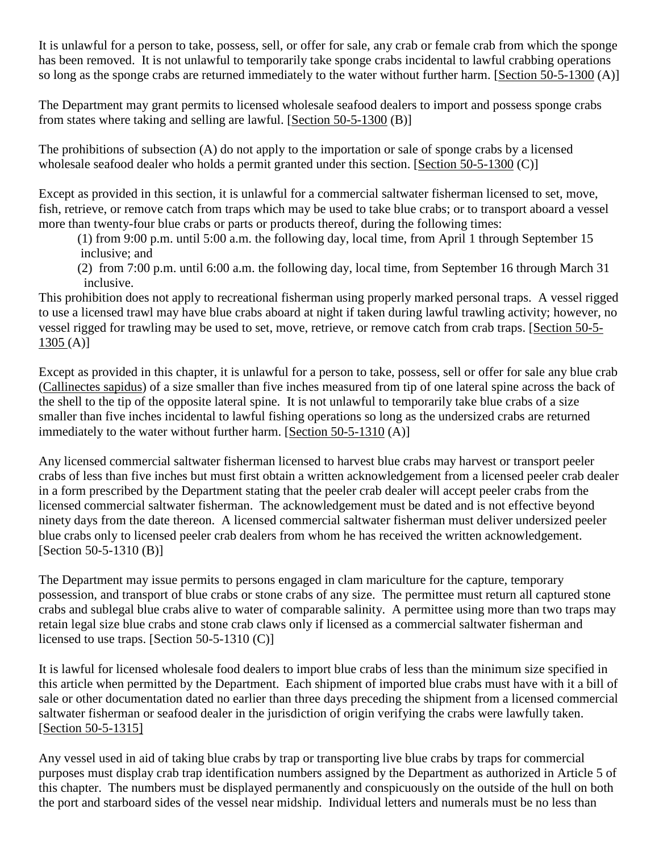It is unlawful for a person to take, possess, sell, or offer for sale, any crab or female crab from which the sponge has been removed. It is not unlawful to temporarily take sponge crabs incidental to lawful crabbing operations so long as the sponge crabs are returned immediately to the water without further harm. [Section 50-5-1300 (A)]

The Department may grant permits to licensed wholesale seafood dealers to import and possess sponge crabs from states where taking and selling are lawful. [Section 50-5-1300 (B)]

The prohibitions of subsection (A) do not apply to the importation or sale of sponge crabs by a licensed wholesale seafood dealer who holds a permit granted under this section. [Section 50-5-1300 (C)]

Except as provided in this section, it is unlawful for a commercial saltwater fisherman licensed to set, move, fish, retrieve, or remove catch from traps which may be used to take blue crabs; or to transport aboard a vessel more than twenty-four blue crabs or parts or products thereof, during the following times:

(1) from 9:00 p.m. until 5:00 a.m. the following day, local time, from April 1 through September 15 inclusive; and

(2) from 7:00 p.m. until 6:00 a.m. the following day, local time, from September 16 through March 31 inclusive.

This prohibition does not apply to recreational fisherman using properly marked personal traps. A vessel rigged to use a licensed trawl may have blue crabs aboard at night if taken during lawful trawling activity; however, no vessel rigged for trawling may be used to set, move, retrieve, or remove catch from crab traps. [Section 50-5-  $1305(A)$ ]

Except as provided in this chapter, it is unlawful for a person to take, possess, sell or offer for sale any blue crab (Callinectes sapidus) of a size smaller than five inches measured from tip of one lateral spine across the back of the shell to the tip of the opposite lateral spine. It is not unlawful to temporarily take blue crabs of a size smaller than five inches incidental to lawful fishing operations so long as the undersized crabs are returned immediately to the water without further harm. [Section 50-5-1310 (A)]

Any licensed commercial saltwater fisherman licensed to harvest blue crabs may harvest or transport peeler crabs of less than five inches but must first obtain a written acknowledgement from a licensed peeler crab dealer in a form prescribed by the Department stating that the peeler crab dealer will accept peeler crabs from the licensed commercial saltwater fisherman. The acknowledgement must be dated and is not effective beyond ninety days from the date thereon. A licensed commercial saltwater fisherman must deliver undersized peeler blue crabs only to licensed peeler crab dealers from whom he has received the written acknowledgement. [Section 50-5-1310 (B)]

The Department may issue permits to persons engaged in clam mariculture for the capture, temporary possession, and transport of blue crabs or stone crabs of any size. The permittee must return all captured stone crabs and sublegal blue crabs alive to water of comparable salinity. A permittee using more than two traps may retain legal size blue crabs and stone crab claws only if licensed as a commercial saltwater fisherman and licensed to use traps. [Section 50-5-1310 (C)]

It is lawful for licensed wholesale food dealers to import blue crabs of less than the minimum size specified in this article when permitted by the Department. Each shipment of imported blue crabs must have with it a bill of sale or other documentation dated no earlier than three days preceding the shipment from a licensed commercial saltwater fisherman or seafood dealer in the jurisdiction of origin verifying the crabs were lawfully taken. [Section 50-5-1315]

Any vessel used in aid of taking blue crabs by trap or transporting live blue crabs by traps for commercial purposes must display crab trap identification numbers assigned by the Department as authorized in Article 5 of this chapter. The numbers must be displayed permanently and conspicuously on the outside of the hull on both the port and starboard sides of the vessel near midship. Individual letters and numerals must be no less than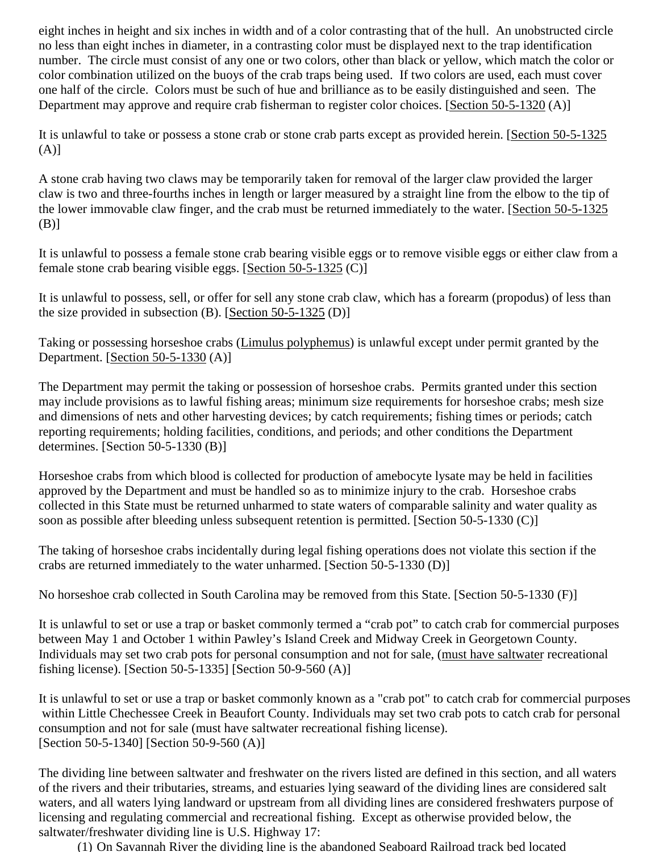eight inches in height and six inches in width and of a color contrasting that of the hull. An unobstructed circle no less than eight inches in diameter, in a contrasting color must be displayed next to the trap identification number. The circle must consist of any one or two colors, other than black or yellow, which match the color or color combination utilized on the buoys of the crab traps being used. If two colors are used, each must cover one half of the circle. Colors must be such of hue and brilliance as to be easily distinguished and seen. The Department may approve and require crab fisherman to register color choices. [Section 50-5-1320 (A)]

It is unlawful to take or possess a stone crab or stone crab parts except as provided herein. [Section 50-5-1325  $(A)$ ]

A stone crab having two claws may be temporarily taken for removal of the larger claw provided the larger claw is two and three-fourths inches in length or larger measured by a straight line from the elbow to the tip of the lower immovable claw finger, and the crab must be returned immediately to the water. [Section 50-5-1325  $(B)$ ]

It is unlawful to possess a female stone crab bearing visible eggs or to remove visible eggs or either claw from a female stone crab bearing visible eggs. [Section 50-5-1325 (C)]

It is unlawful to possess, sell, or offer for sell any stone crab claw, which has a forearm (propodus) of less than the size provided in subsection  $(B)$ . [Section 50-5-1325  $(D)$ ]

Taking or possessing horseshoe crabs (Limulus polyphemus) is unlawful except under permit granted by the Department. [Section 50-5-1330 (A)]

The Department may permit the taking or possession of horseshoe crabs. Permits granted under this section may include provisions as to lawful fishing areas; minimum size requirements for horseshoe crabs; mesh size and dimensions of nets and other harvesting devices; by catch requirements; fishing times or periods; catch reporting requirements; holding facilities, conditions, and periods; and other conditions the Department determines. [Section 50-5-1330 (B)]

Horseshoe crabs from which blood is collected for production of amebocyte lysate may be held in facilities approved by the Department and must be handled so as to minimize injury to the crab. Horseshoe crabs collected in this State must be returned unharmed to state waters of comparable salinity and water quality as soon as possible after bleeding unless subsequent retention is permitted. [Section 50-5-1330 (C)]

The taking of horseshoe crabs incidentally during legal fishing operations does not violate this section if the crabs are returned immediately to the water unharmed. [Section 50-5-1330 (D)]

No horseshoe crab collected in South Carolina may be removed from this State. [Section 50-5-1330 (F)]

It is unlawful to set or use a trap or basket commonly termed a "crab pot" to catch crab for commercial purposes between May 1 and October 1 within Pawley's Island Creek and Midway Creek in Georgetown County. Individuals may set two crab pots for personal consumption and not for sale, (must have saltwater recreational fishing license). [Section 50-5-1335] [Section 50-9-560 (A)]

It is unlawful to set or use a trap or basket commonly known as a "crab pot" to catch crab for commercial purposes within Little Chechessee Creek in Beaufort County. Individuals may set two crab pots to catch crab for personal consumption and not for sale (must have saltwater recreational fishing license). [Section 50-5-1340] [Section 50-9-560 (A)]

The dividing line between saltwater and freshwater on the rivers listed are defined in this section, and all waters of the rivers and their tributaries, streams, and estuaries lying seaward of the dividing lines are considered salt waters, and all waters lying landward or upstream from all dividing lines are considered freshwaters purpose of licensing and regulating commercial and recreational fishing. Except as otherwise provided below, the saltwater/freshwater dividing line is U.S. Highway 17:

(1) On Savannah River the dividing line is the abandoned Seaboard Railroad track bed located